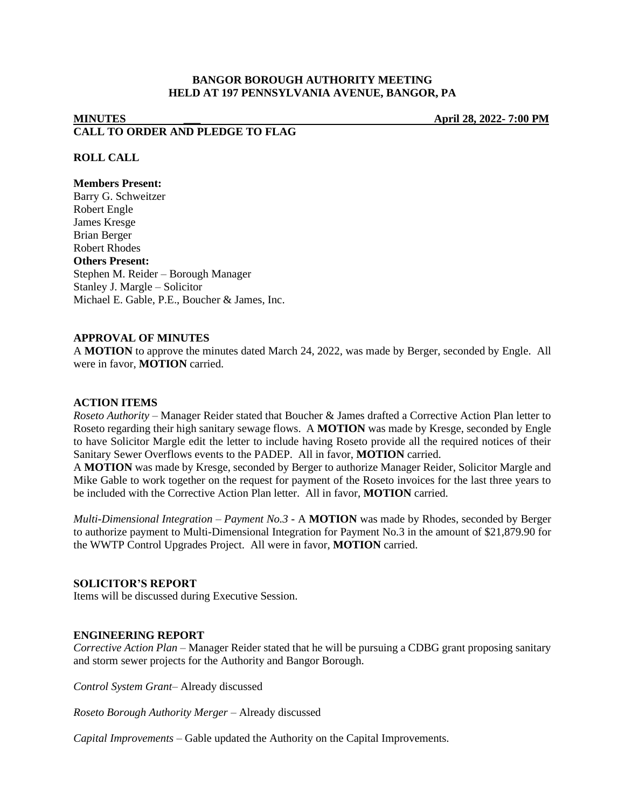# **BANGOR BOROUGH AUTHORITY MEETING HELD AT 197 PENNSYLVANIA AVENUE, BANGOR, PA**

# **MINUTES \_\_\_ April 28, 2022- 7:00 PM CALL TO ORDER AND PLEDGE TO FLAG**

## **ROLL CALL**

#### **Members Present:**

Barry G. Schweitzer Robert Engle James Kresge Brian Berger Robert Rhodes **Others Present:** Stephen M. Reider – Borough Manager Stanley J. Margle – Solicitor Michael E. Gable, P.E., Boucher & James, Inc.

# **APPROVAL OF MINUTES**

A **MOTION** to approve the minutes dated March 24, 2022, was made by Berger, seconded by Engle. All were in favor, **MOTION** carried.

#### **ACTION ITEMS**

*Roseto Authority –* Manager Reider stated that Boucher & James drafted a Corrective Action Plan letter to Roseto regarding their high sanitary sewage flows. A **MOTION** was made by Kresge, seconded by Engle to have Solicitor Margle edit the letter to include having Roseto provide all the required notices of their Sanitary Sewer Overflows events to the PADEP. All in favor, **MOTION** carried.

A **MOTION** was made by Kresge, seconded by Berger to authorize Manager Reider, Solicitor Margle and Mike Gable to work together on the request for payment of the Roseto invoices for the last three years to be included with the Corrective Action Plan letter. All in favor, **MOTION** carried.

*Multi-Dimensional Integration – Payment No.3 -* A **MOTION** was made by Rhodes, seconded by Berger to authorize payment to Multi-Dimensional Integration for Payment No.3 in the amount of \$21,879.90 for the WWTP Control Upgrades Project. All were in favor, **MOTION** carried.

### **SOLICITOR'S REPORT**

Items will be discussed during Executive Session.

#### **ENGINEERING REPORT**

*Corrective Action Plan –* Manager Reider stated that he will be pursuing a CDBG grant proposing sanitary and storm sewer projects for the Authority and Bangor Borough.

*Control System Grant–* Already discussed

*Roseto Borough Authority Merger –* Already discussed

*Capital Improvements –* Gable updated the Authority on the Capital Improvements.